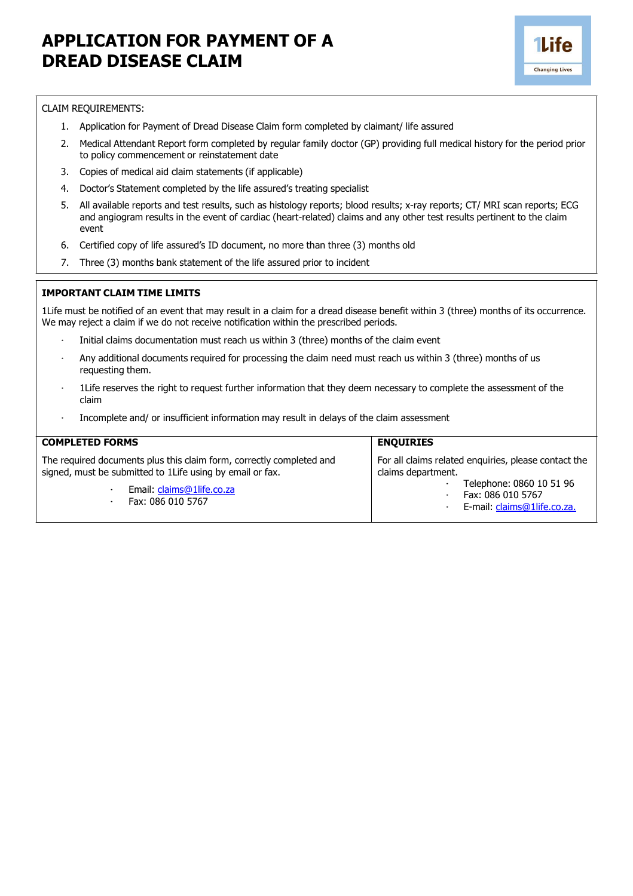## **APPLICATION FOR PAYMENT OF A DREAD DISEASE CLAIM**



## CLAIM REQUIREMENTS:

- 1. Application for Payment of Dread Disease Claim form completed by claimant/ life assured
- 2. Medical Attendant Report form completed by regular family doctor (GP) providing full medical history for the period prior to policy commencement or reinstatement date
- 3. Copies of medical aid claim statements (if applicable)
- 4. Doctor's Statement completed by the life assured's treating specialist
- 5. All available reports and test results, such as histology reports; blood results; x-ray reports; CT/ MRI scan reports; ECG and angiogram results in the event of cardiac (heart-related) claims and any other test results pertinent to the claim event
- 6. Certified copy of life assured's ID document, no more than three (3) months old
- 7. Three (3) months bank statement of the life assured prior to incident

## **IMPORTANT CLAIM TIME LIMITS**

1Life must be notified of an event that may result in a claim for a dread disease benefit within 3 (three) months of its occurrence. We may reject a claim if we do not receive notification within the prescribed periods.

- Initial claims documentation must reach us within 3 (three) months of the claim event
- · Any additional documents required for processing the claim need must reach us within 3 (three) months of us requesting them.
- · 1Life reserves the right to request further information that they deem necessary to complete the assessment of the claim
- Incomplete and/ or insufficient information may result in delays of the claim assessment

| <b>COMPLETED FORMS</b>                                                                                                                                                              | <b>ENQUIRIES</b>                                                                                                                                           |
|-------------------------------------------------------------------------------------------------------------------------------------------------------------------------------------|------------------------------------------------------------------------------------------------------------------------------------------------------------|
| The required documents plus this claim form, correctly completed and<br>signed, must be submitted to 1Life using by email or fax.<br>Email: claims@1life.co.za<br>Fax: 086 010 5767 | For all claims related enguiries, please contact the<br>claims department.<br>Telephone: 0860 10 51 96<br>Fax: 086 010 5767<br>E-mail: claims@1life.co.za. |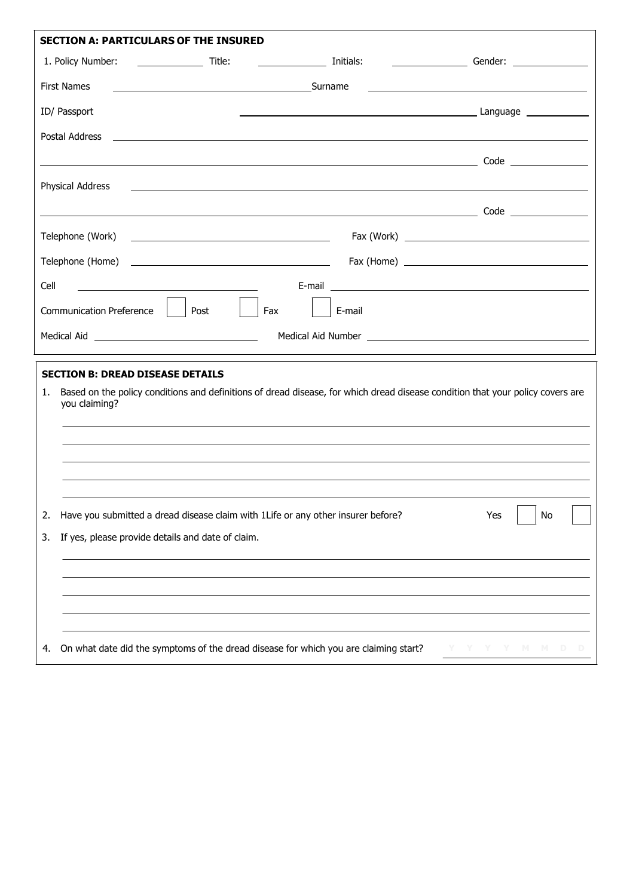| <b>SECTION A: PARTICULARS OF THE INSURED</b>            |                                                                                                                         |                                                                                                                       |                                                                                                                                |  |  |
|---------------------------------------------------------|-------------------------------------------------------------------------------------------------------------------------|-----------------------------------------------------------------------------------------------------------------------|--------------------------------------------------------------------------------------------------------------------------------|--|--|
| 1. Policy Number:                                       | $\overline{\phantom{a}}$ Title:                                                                                         |                                                                                                                       |                                                                                                                                |  |  |
| <b>First Names</b>                                      | <u>Surnament Surnament Surnament Surnament Surnament Surnament Surnament Surnament Surnament Surnament Surnament Su</u> |                                                                                                                       |                                                                                                                                |  |  |
| ID/ Passport                                            |                                                                                                                         |                                                                                                                       |                                                                                                                                |  |  |
| Postal Address                                          | <u> 1989 - Jan Samuel Barbara, martin da shekarar 1980 - André a Samuel Barbara, marka a shekarar 1980 - André a</u>    |                                                                                                                       |                                                                                                                                |  |  |
|                                                         |                                                                                                                         |                                                                                                                       |                                                                                                                                |  |  |
| Physical Address                                        |                                                                                                                         | <u> 1989 - Johann Stein, marwolaethau a chwaraethau a chwaraethau a chwaraethau a chwaraethau a chwaraethau a chw</u> |                                                                                                                                |  |  |
|                                                         |                                                                                                                         |                                                                                                                       |                                                                                                                                |  |  |
| Telephone (Work)                                        |                                                                                                                         |                                                                                                                       |                                                                                                                                |  |  |
|                                                         |                                                                                                                         |                                                                                                                       |                                                                                                                                |  |  |
| Cell                                                    |                                                                                                                         |                                                                                                                       |                                                                                                                                |  |  |
| <b>Communication Preference</b>                         | Fax<br>Post                                                                                                             | E-mail                                                                                                                |                                                                                                                                |  |  |
|                                                         |                                                                                                                         |                                                                                                                       | Medical Aid Number <u>experience</u> and the material and the material and the material and the material and the material      |  |  |
|                                                         |                                                                                                                         |                                                                                                                       |                                                                                                                                |  |  |
| <b>SECTION B: DREAD DISEASE DETAILS</b><br>1.           |                                                                                                                         |                                                                                                                       |                                                                                                                                |  |  |
| you claiming?                                           |                                                                                                                         |                                                                                                                       | Based on the policy conditions and definitions of dread disease, for which dread disease condition that your policy covers are |  |  |
|                                                         |                                                                                                                         |                                                                                                                       |                                                                                                                                |  |  |
|                                                         |                                                                                                                         |                                                                                                                       |                                                                                                                                |  |  |
|                                                         |                                                                                                                         |                                                                                                                       |                                                                                                                                |  |  |
|                                                         |                                                                                                                         |                                                                                                                       |                                                                                                                                |  |  |
| 2.                                                      | Have you submitted a dread disease claim with 1Life or any other insurer before?                                        |                                                                                                                       | No<br>Yes                                                                                                                      |  |  |
| If yes, please provide details and date of claim.<br>3. |                                                                                                                         |                                                                                                                       |                                                                                                                                |  |  |
|                                                         |                                                                                                                         |                                                                                                                       |                                                                                                                                |  |  |
|                                                         |                                                                                                                         |                                                                                                                       |                                                                                                                                |  |  |
|                                                         |                                                                                                                         |                                                                                                                       |                                                                                                                                |  |  |
| 4.                                                      |                                                                                                                         | On what date did the symptoms of the dread disease for which you are claiming start?                                  | M.<br>M.                                                                                                                       |  |  |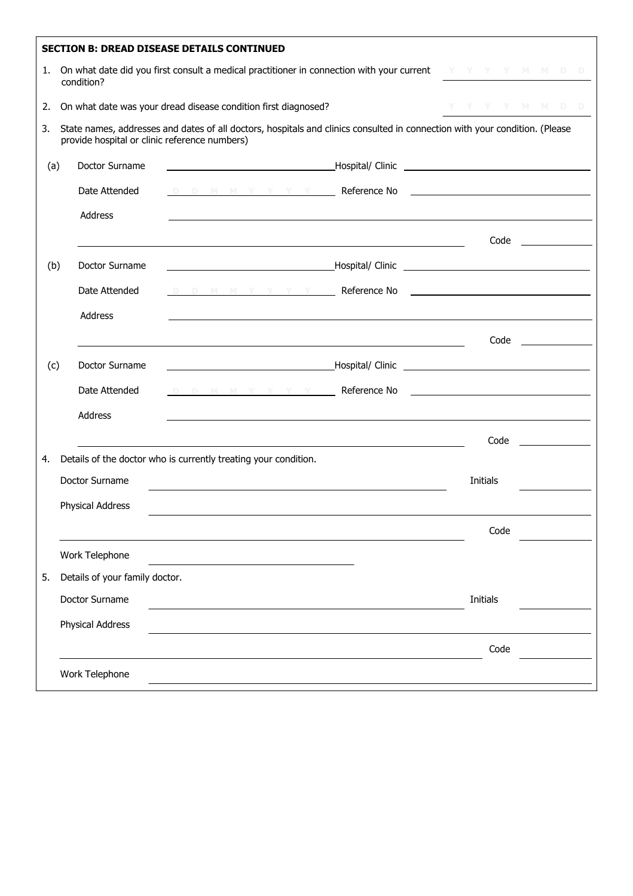| <b>SECTION B: DREAD DISEASE DETAILS CONTINUED</b> |                                                                                                                                                                              |                                |                                                                                                                                                                                                                                                |                                                                                                                                |  |  |
|---------------------------------------------------|------------------------------------------------------------------------------------------------------------------------------------------------------------------------------|--------------------------------|------------------------------------------------------------------------------------------------------------------------------------------------------------------------------------------------------------------------------------------------|--------------------------------------------------------------------------------------------------------------------------------|--|--|
| 1.                                                | On what date did you first consult a medical practitioner in connection with your current $X + Y + Y = M + D - D$<br>condition?                                              |                                |                                                                                                                                                                                                                                                |                                                                                                                                |  |  |
| 2.                                                |                                                                                                                                                                              |                                | On what date was your dread disease condition first diagnosed?                                                                                                                                                                                 | Y Y Y Y M M D D                                                                                                                |  |  |
| 3.                                                | State names, addresses and dates of all doctors, hospitals and clinics consulted in connection with your condition. (Please<br>provide hospital or clinic reference numbers) |                                |                                                                                                                                                                                                                                                |                                                                                                                                |  |  |
| (a)                                               |                                                                                                                                                                              | Doctor Surname                 |                                                                                                                                                                                                                                                |                                                                                                                                |  |  |
|                                                   |                                                                                                                                                                              | Date Attended                  | <u>D D M M Y Y Y Y <b>Reference No</b></u>                                                                                                                                                                                                     |                                                                                                                                |  |  |
|                                                   |                                                                                                                                                                              | Address                        |                                                                                                                                                                                                                                                |                                                                                                                                |  |  |
|                                                   |                                                                                                                                                                              |                                | <u> 1989 - Johann Barn, amerikansk politiker (d. 1989)</u>                                                                                                                                                                                     | Code<br><u> 1990 - John Stein, mars and de la partie de la partie de la partie de la partie de la partie de la partie de l</u> |  |  |
| (b)                                               |                                                                                                                                                                              | Doctor Surname                 |                                                                                                                                                                                                                                                |                                                                                                                                |  |  |
|                                                   |                                                                                                                                                                              | Date Attended                  | D D M M Y <u>Y Y Y <b>T</b></u> Reference No <b>Constant Constant Constant Constant Constant Constant Constant Constant Constant Constant Constant Constant Constant Constant Constant Constant Constant Constant Constant Constant Consta</b> |                                                                                                                                |  |  |
|                                                   |                                                                                                                                                                              | Address                        |                                                                                                                                                                                                                                                |                                                                                                                                |  |  |
|                                                   |                                                                                                                                                                              |                                |                                                                                                                                                                                                                                                | Code ________________                                                                                                          |  |  |
| (c)                                               |                                                                                                                                                                              | Doctor Surname                 |                                                                                                                                                                                                                                                |                                                                                                                                |  |  |
|                                                   |                                                                                                                                                                              | Date Attended                  | D D <u>M M Y Y Y Y <b>Reference No</b></u>                                                                                                                                                                                                     |                                                                                                                                |  |  |
|                                                   |                                                                                                                                                                              | Address                        |                                                                                                                                                                                                                                                |                                                                                                                                |  |  |
|                                                   |                                                                                                                                                                              |                                | <u> 1989 - Johann Barbara, martin amerikan ba</u>                                                                                                                                                                                              | Code                                                                                                                           |  |  |
| 4.                                                |                                                                                                                                                                              |                                | Details of the doctor who is currently treating your condition.                                                                                                                                                                                |                                                                                                                                |  |  |
|                                                   |                                                                                                                                                                              | Doctor Surname                 |                                                                                                                                                                                                                                                | Initials                                                                                                                       |  |  |
|                                                   |                                                                                                                                                                              | <b>Physical Address</b>        |                                                                                                                                                                                                                                                |                                                                                                                                |  |  |
|                                                   |                                                                                                                                                                              |                                |                                                                                                                                                                                                                                                | Code                                                                                                                           |  |  |
|                                                   |                                                                                                                                                                              | Work Telephone                 |                                                                                                                                                                                                                                                |                                                                                                                                |  |  |
| 5.                                                |                                                                                                                                                                              | Details of your family doctor. |                                                                                                                                                                                                                                                |                                                                                                                                |  |  |
|                                                   |                                                                                                                                                                              | Doctor Surname                 |                                                                                                                                                                                                                                                | Initials                                                                                                                       |  |  |
|                                                   |                                                                                                                                                                              | <b>Physical Address</b>        |                                                                                                                                                                                                                                                |                                                                                                                                |  |  |
|                                                   |                                                                                                                                                                              |                                |                                                                                                                                                                                                                                                | Code                                                                                                                           |  |  |
|                                                   |                                                                                                                                                                              | Work Telephone                 |                                                                                                                                                                                                                                                |                                                                                                                                |  |  |